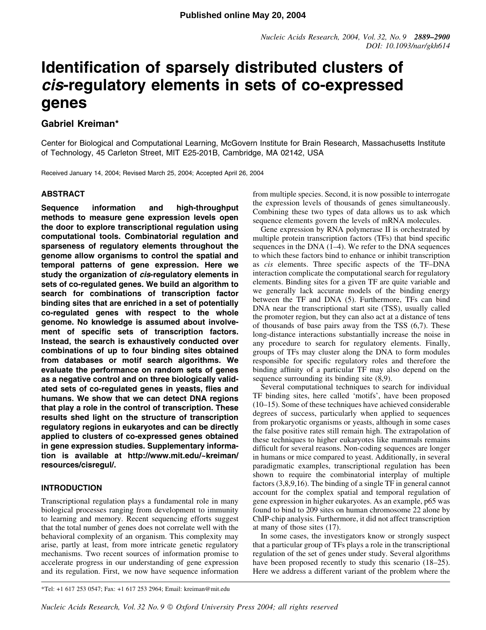# Identification of sparsely distributed clusters of cis-regulatory elements in sets of co-expressed genes

# Gabriel Kreiman\*

Center for Biological and Computational Learning, McGovern Institute for Brain Research, Massachusetts Institute of Technology, 45 Carleton Street, MIT E25-201B, Cambridge, MA 02142, USA

Received January 14, 2004; Revised March 25, 2004; Accepted April 26, 2004

# ABSTRACT

Sequence information and high-throughput methods to measure gene expression levels open the door to explore transcriptional regulation using computational tools. Combinatorial regulation and sparseness of regulatory elements throughout the genome allow organisms to control the spatial and temporal patterns of gene expression. Here we study the organization of *cis*-regulatory elements in sets of co-regulated genes. We build an algorithm to search for combinations of transcription factor binding sites that are enriched in a set of potentially co-regulated genes with respect to the whole genome. No knowledge is assumed about involvement of specific sets of transcription factors. Instead, the search is exhaustively conducted over combinations of up to four binding sites obtained from databases or motif search algorithms. We evaluate the performance on random sets of genes as a negative control and on three biologically validated sets of co-regulated genes in yeasts, flies and humans. We show that we can detect DNA regions that play a role in the control of transcription. These results shed light on the structure of transcription regulatory regions in eukaryotes and can be directly applied to clusters of co-expressed genes obtained in gene expression studies. Supplementary information is available at http://www.mit.edu/~kreiman/ resources/cisregul/.

# INTRODUCTION

Transcriptional regulation plays a fundamental role in many biological processes ranging from development to immunity to learning and memory. Recent sequencing efforts suggest that the total number of genes does not correlate well with the behavioral complexity of an organism. This complexity may arise, partly at least, from more intricate genetic regulatory mechanisms. Two recent sources of information promise to accelerate progress in our understanding of gene expression and its regulation. First, we now have sequence information

from multiple species. Second, it is now possible to interrogate the expression levels of thousands of genes simultaneously. Combining these two types of data allows us to ask which sequence elements govern the levels of mRNA molecules.

Gene expression by RNA polymerase II is orchestrated by multiple protein transcription factors (TFs) that bind specific sequences in the DNA  $(1-4)$ . We refer to the DNA sequences to which these factors bind to enhance or inhibit transcription as cis elements. Three specific aspects of the TF-DNA interaction complicate the computational search for regulatory elements. Binding sites for a given TF are quite variable and we generally lack accurate models of the binding energy between the TF and DNA (5). Furthermore, TFs can bind DNA near the transcriptional start site (TSS), usually called the promoter region, but they can also act at a distance of tens of thousands of base pairs away from the TSS (6,7). These long-distance interactions substantially increase the noise in any procedure to search for regulatory elements. Finally, groups of TFs may cluster along the DNA to form modules responsible for specific regulatory roles and therefore the binding affinity of a particular TF may also depend on the sequence surrounding its binding site (8,9).

Several computational techniques to search for individual TF binding sites, here called `motifs', have been proposed  $(10-15)$ . Some of these techniques have achieved considerable degrees of success, particularly when applied to sequences from prokaryotic organisms or yeasts, although in some cases the false positive rates still remain high. The extrapolation of these techniques to higher eukaryotes like mammals remains difficult for several reasons. Non-coding sequences are longer in humans or mice compared to yeast. Additionally, in several paradigmatic examples, transcriptional regulation has been shown to require the combinatorial interplay of multiple factors (3,8,9,16). The binding of a single TF in general cannot account for the complex spatial and temporal regulation of gene expression in higher eukaryotes. As an example, p65 was found to bind to 209 sites on human chromosome 22 alone by ChIP-chip analysis. Furthermore, it did not affect transcription at many of those sites (17).

In some cases, the investigators know or strongly suspect that a particular group of TFs plays a role in the transcriptional regulation of the set of genes under study. Several algorithms have been proposed recently to study this scenario  $(18–25)$ . Here we address a different variant of the problem where the

\*Tel: +1 617 253 0547; Fax: +1 617 253 2964; Email: kreiman@mit.edu

Nucleic Acids Research, Vol. 32 No. 9  $\odot$  Oxford University Press 2004; all rights reserved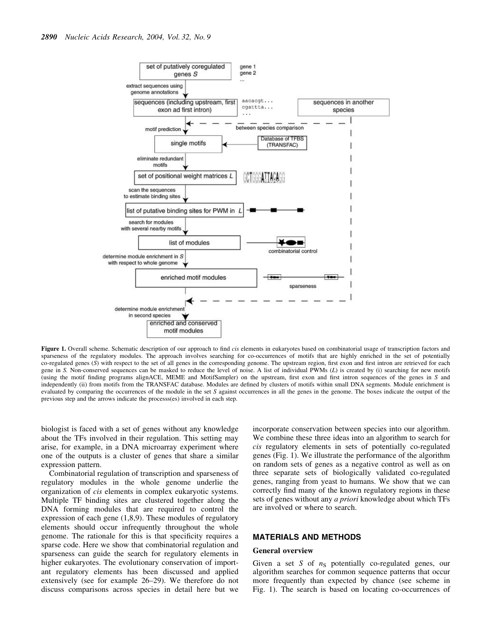

Figure 1. Overall scheme. Schematic description of our approach to find *cis* elements in eukaryotes based on combinatorial usage of transcription factors and sparseness of the regulatory modules. The approach involves searching for co-occurrences of motifs that are highly enriched in the set of potentially co-regulated genes (S) with respect to the set of all genes in the corresponding genome. The upstream region, first exon and first intron are retrieved for each gene in S. Non-conserved sequences can be masked to reduce the level of noise. A list of individual PWMs (L) is created by (i) searching for new motifs (using the motif finding programs alignACE, MEME and MotifSampler) on the upstream, first exon and first intron sequences of the genes in S and independently (ii) from motifs from the TRANSFAC database. Modules are defined by clusters of motifs within small DNA segments. Module enrichment is evaluated by comparing the occurrences of the module in the set S against occurrences in all the genes in the genome. The boxes indicate the output of the previous step and the arrows indicate the processs(es) involved in each step.

biologist is faced with a set of genes without any knowledge about the TFs involved in their regulation. This setting may arise, for example, in a DNA microarray experiment where one of the outputs is a cluster of genes that share a similar expression pattern.

Combinatorial regulation of transcription and sparseness of regulatory modules in the whole genome underlie the organization of cis elements in complex eukaryotic systems. Multiple TF binding sites are clustered together along the DNA forming modules that are required to control the expression of each gene (1,8,9). These modules of regulatory elements should occur infrequently throughout the whole genome. The rationale for this is that specificity requires a sparse code. Here we show that combinatorial regulation and sparseness can guide the search for regulatory elements in higher eukaryotes. The evolutionary conservation of important regulatory elements has been discussed and applied extensively (see for example  $26-29$ ). We therefore do not discuss comparisons across species in detail here but we incorporate conservation between species into our algorithm. We combine these three ideas into an algorithm to search for cis regulatory elements in sets of potentially co-regulated genes (Fig. 1). We illustrate the performance of the algorithm on random sets of genes as a negative control as well as on three separate sets of biologically validated co-regulated genes, ranging from yeast to humans. We show that we can correctly find many of the known regulatory regions in these sets of genes without any *a priori* knowledge about which TFs are involved or where to search.

### MATERIALS AND METHODS

## General overview

Given a set S of  $n<sub>S</sub>$  potentially co-regulated genes, our algorithm searches for common sequence patterns that occur more frequently than expected by chance (see scheme in Fig. 1). The search is based on locating co-occurrences of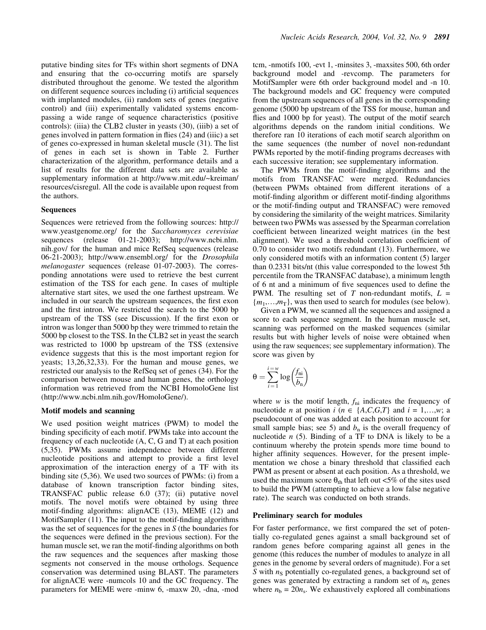putative binding sites for TFs within short segments of DNA and ensuring that the co-occurring motifs are sparsely distributed throughout the genome. We tested the algorithm on different sequence sources including (i) artificial sequences with implanted modules, (ii) random sets of genes (negative control) and (iii) experimentally validated systems encompassing a wide range of sequence characteristics (positive controls): (iiia) the CLB2 cluster in yeasts (30), (iiib) a set of genes involved in pattern formation in flies (24) and (iiic) a set of genes co-expressed in human skeletal muscle (31). The list of genes in each set is shown in Table 2. Further characterization of the algorithm, performance details and a list of results for the different data sets are available as supplementary information at http://www.mit.edu/~kreiman/ resources/cisregul. All the code is available upon request from the authors.

# **Sequences**

Sequences were retrieved from the following sources: http:// www.yeastgenome.org/ for the Saccharomyces cerevisiae sequences (release 01-21-2003); http://www.ncbi.nlm. nih.gov/ for the human and mice RefSeq sequences (release 06-21-2003); http://www.ensembl.org/ for the Drosophila melanogaster sequences (release 01-07-2003). The corresponding annotations were used to retrieve the best current estimation of the TSS for each gene. In cases of multiple alternative start sites, we used the one farthest upstream. We included in our search the upstream sequences, the first exon and the first intron. We restricted the search to the 5000 bp upstream of the TSS (see Discussion). If the first exon or intron was longer than 5000 bp they were trimmed to retain the 5000 bp closest to the TSS. In the CLB2 set in yeast the search was restricted to 1000 bp upstream of the TSS (extensive evidence suggests that this is the most important region for yeasts; 13,26,32,33). For the human and mouse genes, we restricted our analysis to the RefSeq set of genes (34). For the comparison between mouse and human genes, the orthology information was retrieved from the NCBI HomoloGene list (http://www.ncbi.nlm.nih.gov/HomoloGene/).

# Motif models and scanning

We used position weight matrices (PWM) to model the binding specificity of each motif. PWMs take into account the frequency of each nucleotide (A, C, G and T) at each position (5,35). PWMs assume independence between different nucleotide positions and attempt to provide a first level approximation of the interaction energy of a TF with its binding site (5,36). We used two sources of PWMs: (i) from a database of known transcription factor binding sites, TRANSFAC public release 6.0 (37); (ii) putative novel motifs. The novel motifs were obtained by using three motif-finding algorithms: alignACE (13), MEME (12) and MotifSampler  $(11)$ . The input to the motif-finding algorithms was the set of sequences for the genes in S (the boundaries for the sequences were defined in the previous section). For the human muscle set, we ran the motif-finding algorithms on both the raw sequences and the sequences after masking those segments not conserved in the mouse orthologs. Sequence conservation was determined using BLAST. The parameters for alignACE were -numcols 10 and the GC frequency. The parameters for MEME were -minw 6, -maxw 20, -dna, -mod tcm, -nmotifs 100, -evt 1, -minsites 3, -maxsites 500, 6th order background model and -revcomp. The parameters for MotifSampler were 6th order background model and -n 10. The background models and GC frequency were computed from the upstream sequences of all genes in the corresponding genome (5000 bp upstream of the TSS for mouse, human and flies and 1000 bp for yeast). The output of the motif search algorithms depends on the random initial conditions. We therefore ran 10 iterations of each motif search algorithm on the same sequences (the number of novel non-redundant PWMs reported by the motif-finding programs decreases with each successive iteration; see supplementary information.

The PWMs from the motif-finding algorithms and the motifs from TRANSFAC were merged. Redundancies (between PWMs obtained from different iterations of a motif-finding algorithm or different motif-finding algorithms or the motif-finding output and TRANSFAC) were removed by considering the similarity of the weight matrices. Similarity between two PWMs was assessed by the Spearman correlation coefficient between linearized weight matrices (in the best alignment). We used a threshold correlation coefficient of 0.70 to consider two motifs redundant (13). Furthermore, we only considered motifs with an information content (5) larger than 0.2331 bits/nt (this value corresponded to the lowest 5th percentile from the TRANSFAC database), a minimum length of 6 nt and a minimum of five sequences used to define the PWM. The resulting set of T non-redundant motifs,  $L =$  ${m_1,...,m_T}$ , was then used to search for modules (see below).

Given a PWM, we scanned all the sequences and assigned a score to each sequence segment. In the human muscle set, scanning was performed on the masked sequences (similar results but with higher levels of noise were obtained when using the raw sequences; see supplementary information). The score was given by

$$
\theta = \sum_{i=1}^{i=w} \log \left( \frac{f_{\text{ni}}}{b_{\text{n}}} \right)
$$

where  $w$  is the motif length,  $f_{ni}$  indicates the frequency of nucleotide *n* at position  $i$  ( $n \in \{A, C, G, T\}$  and  $i = 1, \ldots, w$ ; a pseudocount of one was added at each position to account for small sample bias; see 5) and  $b_n$  is the overall frequency of nucleotide  $n$  (5). Binding of a TF to DNA is likely to be a continuum whereby the protein spends more time bound to higher affinity sequences. However, for the present implementation we chose a binary threshold that classified each PWM as present or absent at each position. As a threshold, we used the maximum score  $\theta_{th}$  that left out <5% of the sites used to build the PWM (attempting to achieve a low false negative rate). The search was conducted on both strands.

# Preliminary search for modules

For faster performance, we first compared the set of potentially co-regulated genes against a small background set of random genes before comparing against all genes in the genome (this reduces the number of modules to analyze in all genes in the genome by several orders of magnitude). For a set S with  $n<sub>S</sub>$  potentially co-regulated genes, a background set of genes was generated by extracting a random set of  $n<sub>b</sub>$  genes where  $n_b = 20n_s$ . We exhaustively explored all combinations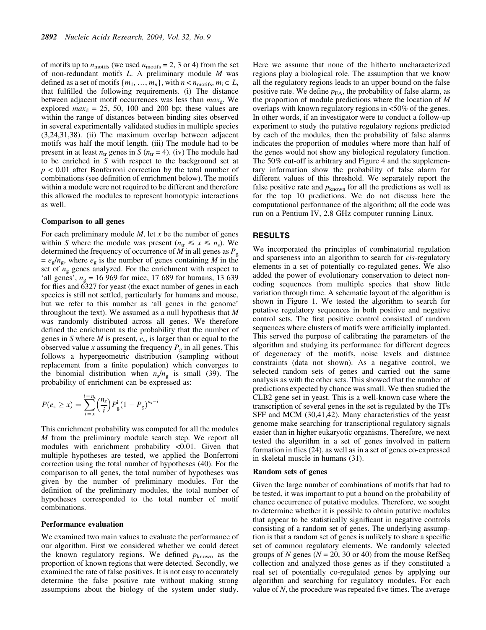of motifs up to  $n_{\text{motifs}}$  (we used  $n_{\text{motifs}} = 2, 3$  or 4) from the set of non-redundant motifs  $L$ . A preliminary module  $M$  was defined as a set of motifs  $\{m_1, ..., m_n\}$ , with  $n < n_{\text{motifs}}, m_i \in L$ , that fulfilled the following requirements. (i) The distance between adjacent motif occurrences was less than  $max<sub>d</sub>$ . We explored  $max<sub>d</sub> = 25, 50, 100$  and 200 bp; these values are within the range of distances between binding sites observed in several experimentally validated studies in multiple species (3,24,31,38). (ii) The maximum overlap between adjacent motifs was half the motif length. (iii) The module had to be present in at least  $n_{tr}$  genes in S ( $n_{tr}$  = 4). (iv) The module had to be enriched in S with respect to the background set at  $p < 0.01$  after Bonferroni correction by the total number of combinations (see definition of enrichment below). The motifs within a module were not required to be different and therefore this allowed the modules to represent homotypic interactions as well.

#### Comparison to all genes

For each preliminary module  $M$ , let  $x$  be the number of genes within S where the module was present ( $n_{\text{tr}} \le x \le n_{\text{s}}$ ). We determined the frequency of occurrence of M in all genes as  $P_g$  $= e_g/n_g$ , where  $e_g$  is the number of genes containing M in the set of  $n_g$  genes analyzed. For the enrichment with respect to 'all genes',  $n_g = 16969$  for mice, 17 689 for humans, 13 639 for flies and  $\overline{6327}$  for yeast (the exact number of genes in each species is still not settled, particularly for humans and mouse, but we refer to this number as `all genes in the genome' throughout the text). We assumed as a null hypothesis that  $M$ was randomly distributed across all genes. We therefore defined the enrichment as the probability that the number of genes in S where  $M$  is present,  $e_s$ , is larger than or equal to the observed value x assuming the frequency  $P_g$  in all genes. This follows a hypergeometric distribution (sampling without replacement from a finite population) which converges to the binomial distribution when  $n_s/n_g$  is small (39). The probability of enrichment can be expressed as:

$$
P(e_{s} \geq x) = \sum_{i=x}^{i=n_{s}} {n_{s} \choose i} P_{g}^{i} (1-P_{g})^{n_{s}-i}
$$

This enrichment probability was computed for all the modules M from the preliminary module search step. We report all modules with enrichment probability <0.01. Given that multiple hypotheses are tested, we applied the Bonferroni correction using the total number of hypotheses (40). For the comparison to all genes, the total number of hypotheses was given by the number of preliminary modules. For the definition of the preliminary modules, the total number of hypotheses corresponded to the total number of motif combinations.

#### Performance evaluation

We examined two main values to evaluate the performance of our algorithm. First we considered whether we could detect the known regulatory regions. We defined  $p_{known}$  as the proportion of known regions that were detected. Secondly, we examined the rate of false positives. It is not easy to accurately determine the false positive rate without making strong assumptions about the biology of the system under study. Here we assume that none of the hitherto uncharacterized regions play a biological role. The assumption that we know all the regulatory regions leads to an upper bound on the false positive rate. We define  $p_{FA}$ , the probability of false alarm, as the proportion of module predictions where the location of M overlaps with known regulatory regions in <50% of the genes. In other words, if an investigator were to conduct a follow-up experiment to study the putative regulatory regions predicted by each of the modules, then the probability of false alarms indicates the proportion of modules where more than half of the genes would not show any biological regulatory function. The 50% cut-off is arbitrary and Figure 4 and the supplementary information show the probability of false alarm for different values of this threshold. We separately report the false positive rate and  $p_{known}$  for all the predictions as well as for the top 10 predictions. We do not discuss here the computational performance of the algorithm; all the code was run on a Pentium IV, 2.8 GHz computer running Linux.

# RESULTS

We incorporated the principles of combinatorial regulation and sparseness into an algorithm to search for cis-regulatory elements in a set of potentially co-regulated genes. We also added the power of evolutionary conservation to detect noncoding sequences from multiple species that show little variation through time. A schematic layout of the algorithm is shown in Figure 1. We tested the algorithm to search for putative regulatory sequences in both positive and negative control sets. The first positive control consisted of random sequences where clusters of motifs were artificially implanted. This served the purpose of calibrating the parameters of the algorithm and studying its performance for different degrees of degeneracy of the motifs, noise levels and distance constraints (data not shown). As a negative control, we selected random sets of genes and carried out the same analysis as with the other sets. This showed that the number of predictions expected by chance was small. We then studied the CLB2 gene set in yeast. This is a well-known case where the transcription of several genes in the set is regulated by the TFs SFF and MCM (30,41,42). Many characteristics of the yeast genome make searching for transcriptional regulatory signals easier than in higher eukaryotic organisms. Therefore, we next tested the algorithm in a set of genes involved in pattern formation in flies  $(24)$ , as well as in a set of genes co-expressed in skeletal muscle in humans (31).

# Random sets of genes

Given the large number of combinations of motifs that had to be tested, it was important to put a bound on the probability of chance occurrence of putative modules. Therefore, we sought to determine whether it is possible to obtain putative modules that appear to be statistically significant in negative controls consisting of a random set of genes. The underlying assumption is that a random set of genes is unlikely to share a specific set of common regulatory elements. We randomly selected groups of N genes ( $N = 20$ , 30 or 40) from the mouse RefSeq collection and analyzed those genes as if they constituted a real set of potentially co-regulated genes by applying our algorithm and searching for regulatory modules. For each value of  $N$ , the procedure was repeated five times. The average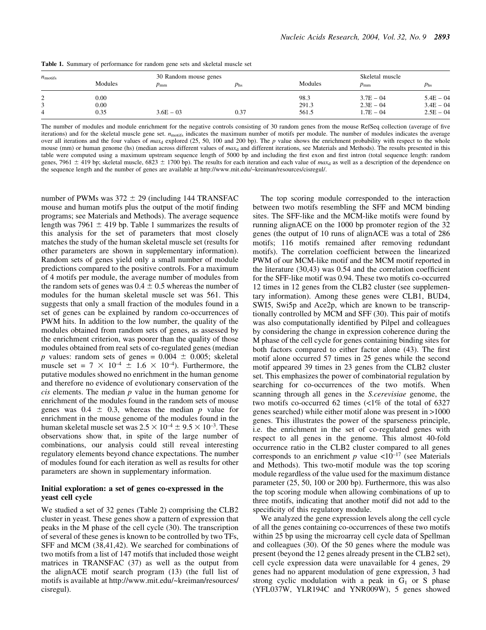| $n_{\text{motifs}}$ | Modules      | 30 Random mouse genes<br>$p_{\rm mm}$ | $p_{\rm hs}$ | Modules       | Skeletal muscle<br>$p_{\rm mm}$ | $p_{\rm hs}$               |
|---------------------|--------------|---------------------------------------|--------------|---------------|---------------------------------|----------------------------|
|                     | 0.00<br>0.00 |                                       |              | 98.3<br>291.3 | $3.7E - 04$<br>$2.3E - 04$      | $5.4E - 04$<br>$3.4E - 04$ |
|                     | 0.35         | $3.6E - 03$                           | 0.37         | 561.5         | $1.7E - 04$                     | $2.5E - 04$                |

Table 1. Summary of performance for random gene sets and skeletal muscle set

The number of modules and module enrichment for the negative controls consisting of 30 random genes from the mouse RefSeq collection (average of five iterations) and for the skeletal muscle gene set.  $n_{\text{motifs}}$  indicates the maximum number of motifs per module. The number of modules indicates the average over all iterations and the four values of  $max_1$  explored (25, 50, 100 and 200 bp). The p value shows the enrichment probability with respect to the whole mouse (mm) or human genome (hs) (median across different values of  $max_d$  and different iterations, see Materials and Methods). The results presented in this table were computed using a maximum upstream sequence length of 5000 bp and including the first exon and first intron (total sequence length: random genes, 7961  $\pm$  419 bp; skeletal muscle, 6823  $\pm$  1700 bp). The results for each iteration and each value of max<sub>d</sub> as well as a description of the dependence on the sequence length and the number of genes are available at http://www.mit.edu/~kreiman/resources/cisregul/.

number of PWMs was  $372 \pm 29$  (including 144 TRANSFAC mouse and human motifs plus the output of the motif finding programs; see Materials and Methods). The average sequence length was 7961  $\pm$  419 bp. Table 1 summarizes the results of this analysis for the set of parameters that most closely matches the study of the human skeletal muscle set (results for other parameters are shown in supplementary information). Random sets of genes yield only a small number of module predictions compared to the positive controls. For a maximum of 4 motifs per module, the average number of modules from the random sets of genes was  $0.4 \pm 0.5$  whereas the number of modules for the human skeletal muscle set was 561. This suggests that only a small fraction of the modules found in a set of genes can be explained by random co-occurrences of PWM hits. In addition to the low number, the quality of the modules obtained from random sets of genes, as assessed by the enrichment criterion, was poorer than the quality of those modules obtained from real sets of co-regulated genes (median p values: random sets of genes =  $0.004 \pm 0.005$ ; skeletal muscle set =  $7 \times 10^{-4} \pm 1.6 \times 10^{-4}$ ). Furthermore, the putative modules showed no enrichment in the human genome and therefore no evidence of evolutionary conservation of the  $cis$  elements. The median  $p$  value in the human genome for enrichment of the modules found in the random sets of mouse genes was  $0.4 \pm 0.3$ , whereas the median p value for enrichment in the mouse genome of the modules found in the human skeletal muscle set was  $2.5 \times 10^{-4} \pm 9.5 \times 10^{-3}$ . These observations show that, in spite of the large number of combinations, our analysis could still reveal interesting regulatory elements beyond chance expectations. The number of modules found for each iteration as well as results for other parameters are shown in supplementary information.

# Initial exploration: a set of genes co-expressed in the yeast cell cycle

We studied a set of 32 genes (Table 2) comprising the CLB2 cluster in yeast. These genes show a pattern of expression that peaks in the M phase of the cell cycle (30). The transcription of several of these genes is known to be controlled by two TFs, SFF and MCM (38,41,42). We searched for combinations of two motifs from a list of 147 motifs that included those weight matrices in TRANSFAC (37) as well as the output from the alignACE motif search program (13) (the full list of motifs is available at http://www.mit.edu/~kreiman/resources/ cisregul).

The top scoring module corresponded to the interaction between two motifs resembling the SFF and MCM binding sites. The SFF-like and the MCM-like motifs were found by running alignACE on the 1000 bp promoter region of the 32 genes (the output of 10 runs of alignACE was a total of 286 motifs; 116 motifs remained after removing redundant motifs). The correlation coefficient between the linearized PWM of our MCM-like motif and the MCM motif reported in the literature  $(30,43)$  was 0.54 and the correlation coefficient for the SFF-like motif was 0.94. These two motifs co-occurred 12 times in 12 genes from the CLB2 cluster (see supplementary information). Among these genes were CLB1, BUD4, SWI5, Swi5p and Ace2p, which are known to be transcriptionally controlled by MCM and SFF (30). This pair of motifs was also computationally identified by Pilpel and colleagues by considering the change in expression coherence during the M phase of the cell cycle for genes containing binding sites for both factors compared to either factor alone (43). The first motif alone occurred 57 times in 25 genes while the second motif appeared 39 times in 23 genes from the CLB2 cluster set. This emphasizes the power of combinatorial regulation by searching for co-occurrences of the two motifs. When scanning through all genes in the *S.cerevisiae* genome, the two motifs co-occurred 62 times (<1% of the total of 6327 genes searched) while either motif alone was present in >1000 genes. This illustrates the power of the sparseness principle, i.e. the enrichment in the set of co-regulated genes with respect to all genes in the genome. This almost 40-fold occurrence ratio in the CLB2 cluster compared to all genes corresponds to an enrichment p value  $\langle 10^{-17}$  (see Materials and Methods). This two-motif module was the top scoring module regardless of the value used for the maximum distance parameter (25, 50, 100 or 200 bp). Furthermore, this was also the top scoring module when allowing combinations of up to three motifs, indicating that another motif did not add to the specificity of this regulatory module.

We analyzed the gene expression levels along the cell cycle of all the genes containing co-occurrences of these two motifs within 25 bp using the microarray cell cycle data of Spellman and colleagues (30). Of the 50 genes where the module was present (beyond the 12 genes already present in the CLB2 set), cell cycle expression data were unavailable for 4 genes, 29 genes had no apparent modulation of gene expression, 3 had strong cyclic modulation with a peak in  $G_1$  or S phase (YFL037W, YLR194C and YNR009W), 5 genes showed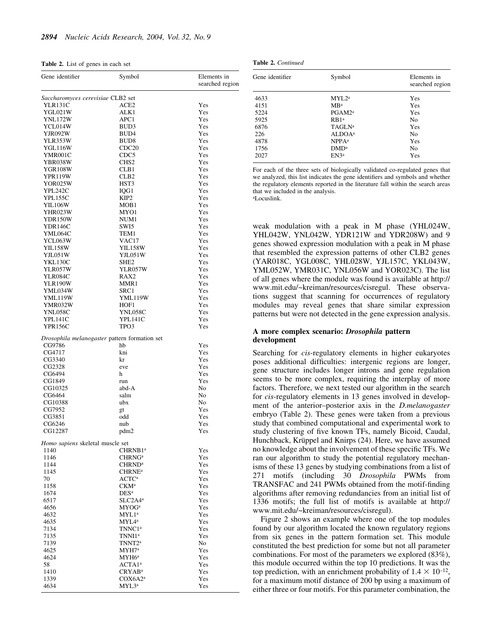Table 2. List of genes in each set

| Gene identifier                          | Symbol                                        | Elements in<br>searched region |
|------------------------------------------|-----------------------------------------------|--------------------------------|
| Saccharomyces cerevisiae CLB2 set        |                                               |                                |
| YLR131C                                  | ACE2                                          | Yes                            |
| YGL021W                                  | ALK1<br>APC1                                  | Yes<br>Yes                     |
| YNL172W<br>YCL014W                       | BUD3                                          | Yes                            |
| YJR092W                                  | BUD4                                          | Yes                            |
| YLR353W                                  | BUD <sub>8</sub>                              | Yes                            |
| YGL116W                                  | CDC <sub>20</sub>                             | Yes                            |
| YMR001C                                  | CDC5                                          | Yes                            |
| YBR038W                                  | CHS <sub>2</sub>                              | Yes                            |
| YGR108W                                  | CLB <sub>1</sub>                              | Yes                            |
| YPR119W                                  | CLB <sub>2</sub>                              | Yes                            |
| YOR025W                                  | HST3                                          | Yes                            |
| YPL242C                                  | IQG1                                          | Yes                            |
| YPL155C                                  | KIP2                                          | Yes                            |
| YIL106W                                  | MOB1<br>MYO1                                  | Yes<br>Yes                     |
| YHR023W<br>YDR150W                       | NUM1                                          | Yes                            |
| YDR146C                                  | SWI5                                          | Yes                            |
| YML064C                                  | TEM1                                          | Yes                            |
| YCL063W                                  | VAC17                                         | Yes                            |
| YIL158W                                  | YIL158W                                       | Yes                            |
| YJL051W                                  | YJL051W                                       | Yes                            |
| YKL130C                                  | SHE2                                          | Yes                            |
| YLR057W                                  | YLR057W                                       | Yes                            |
| YLR084C                                  | RAX2                                          | Yes                            |
| YLR190W                                  | MMR1                                          | Yes                            |
| YML034W                                  | SRC1                                          | Yes                            |
| YML119W                                  | YML119W                                       | Yes                            |
| YMR032W                                  | HOF1                                          | Yes                            |
| YNL058C<br>YPL141C                       | YNL058C<br>YPL141C                            | Yes<br>Yes                     |
| <b>YPR156C</b>                           | TPO3                                          | Yes                            |
|                                          | Drosophila melanogaster pattern formation set |                                |
| CG9786                                   | hb                                            | Yes                            |
| CG4717                                   | kni                                           | Yes                            |
| CG3340                                   | kr                                            | Yes                            |
| CG2328<br>CG6494                         | eve<br>h                                      | Yes<br>Yes                     |
| CG1849                                   | run                                           | Yes                            |
| CG10325                                  | abd-A                                         | No                             |
| CG6464                                   | salm                                          | No                             |
| CG10388                                  | ubx                                           | No                             |
| CG7952                                   | gt                                            | Yes                            |
| CG3851                                   | odd                                           | Yes                            |
| CG6246                                   | nub                                           | Yes                            |
| CG12287                                  | pdm2                                          | Yes                            |
| Homo sapiens skeletal muscle set<br>1140 | CHRNB1 <sup>a</sup>                           | Yes                            |
| 1146                                     | <b>CHRNG</b> <sup>a</sup>                     | Yes                            |
| 1144                                     | <b>CHRND</b> <sup>a</sup>                     | Yes                            |
| 1145                                     | CHRNE <sup>a</sup>                            | Yes                            |
| 70                                       | ACTC <sup>a</sup>                             | Yes                            |
| 1158                                     | CKM <sup>a</sup>                              | Yes                            |
| 1674                                     | DES <sup>a</sup>                              | Yes                            |
| 6517                                     | SLC2A4 <sup>a</sup>                           | Yes                            |
| 4656                                     | $\mathbf{MYOG}^a$                             | Yes                            |
| 4632                                     | MYL1ª                                         | Yes                            |
| 4635                                     | MYL4ª                                         | Yes                            |
| 7134                                     | TNNC1 <sup>a</sup>                            | Yes                            |
| 7135                                     | TNNI1ª                                        | Yes                            |
| 7139                                     | TNNT2 <sup>a</sup>                            | No                             |
| 4625                                     | MYH7ª                                         | Yes<br>Yes                     |
| 4624<br>58                               | MYH6ª<br>ACTA1ª                               | Yes                            |
| 1410                                     | CRYAB <sup>a</sup>                            | Yes                            |
| 1339                                     | COX6A2 <sup>a</sup>                           | Yes                            |
| 4634                                     | MYL3ª                                         | Yes                            |
|                                          |                                               |                                |

Table 2. Continued

| Gene identifier | Symbol                 | Elements in<br>searched region |  |
|-----------------|------------------------|--------------------------------|--|
| 4633            | MYL2 <sup>a</sup>      | Yes                            |  |
| 4151            | <b>MB</b> <sup>a</sup> | Yes                            |  |
| 5224            | $P$ GAM2 <sup>a</sup>  | Yes                            |  |
| 5925            | RB1 <sup>a</sup>       | N <sub>0</sub>                 |  |
| 6876            | <b>TAGLNa</b>          | Yes                            |  |
| 226             | ALDOA <sup>a</sup>     | No                             |  |
| 4878            | NPPA <sup>a</sup>      | Yes                            |  |
| 1756            | DMD <sup>a</sup>       | N <sub>0</sub>                 |  |
| 2027            | EN3 <sup>a</sup>       | Yes                            |  |

For each of the three sets of biologically validated co-regulated genes that we analyzed, this list indicates the gene identifiers and symbols and whether the regulatory elements reported in the literature fall within the search areas that we included in the analysis. aLocuslink.

weak modulation with a peak in M phase (YHL024W, YHL042W, YNL042W, YDR121W and YDR208W) and 9 genes showed expression modulation with a peak in M phase that resembled the expression patterns of other CLB2 genes (YAR018C, YGL008C, YHL028W, YJL157C, YKL043W, YML052W, YMR031C, YNL056W and YOR023C). The list of all genes where the module was found is available at http:// www.mit.edu/~kreiman/resources/cisregul. These observations suggest that scanning for occurrences of regulatory modules may reveal genes that share similar expression patterns but were not detected in the gene expression analysis.

# A more complex scenario: Drosophila pattern development

Searching for *cis*-regulatory elements in higher eukaryotes poses additional difficulties: intergenic regions are longer, gene structure includes longer introns and gene regulation seems to be more complex, requiring the interplay of more factors. Therefore, we next tested our algorithm in the search for cis-regulatory elements in 13 genes involved in development of the anterior-posterior axis in the D.melanogaster embryo (Table 2). These genes were taken from a previous study that combined computational and experimental work to study clustering of five known TFs, namely Bicoid, Caudal, Hunchback, Krüppel and Knirps (24). Here, we have assumed no knowledge about the involvement of these specific TFs. We ran our algorithm to study the potential regulatory mechanisms of these 13 genes by studying combinations from a list of 271 motifs (including 30 Drosophila PWMs from TRANSFAC and 241 PWMs obtained from the motif-finding algorithms after removing redundancies from an initial list of 1336 motifs; the full list of motifs is available at http:// www.mit.edu/~kreiman/resources/cisregul).

Figure 2 shows an example where one of the top modules found by our algorithm located the known regulatory regions from six genes in the pattern formation set. This module constituted the best prediction for some but not all parameter combinations. For most of the parameters we explored (83%), this module occurred within the top 10 predictions. It was the top prediction, with an enrichment probability of  $1.4 \times 10^{-12}$ , for a maximum motif distance of 200 bp using a maximum of either three or four motifs. For this parameter combination, the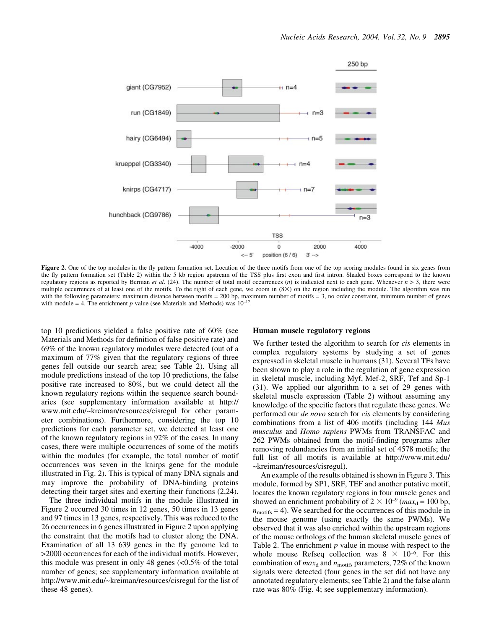

Figure 2. One of the top modules in the fly pattern formation set. Location of the three motifs from one of the top scoring modules found in six genes from the fly pattern formation set (Table 2) within the 5 kb region upstream of the TSS plus first exon and first intron. Shaded boxes correspond to the known regulatory regions as reported by Berman et al. (24). The number of total motif occurrences  $(n)$  is indicated next to each gene. Whenever  $n > 3$ , there were multiple occurrences of at least one of the motifs. To the right of each gene, we zoom in  $(8\times)$  on the region including the module. The algorithm was run with the following parameters: maximum distance between motifs = 200 bp, maximum number of motifs = 3, no order constraint, minimum number of genes with module = 4. The enrichment p value (see Materials and Methods) was  $10^{-12}$ .

top 10 predictions yielded a false positive rate of 60% (see Materials and Methods for definition of false positive rate) and 69% of the known regulatory modules were detected (out of a maximum of 77% given that the regulatory regions of three genes fell outside our search area; see Table 2). Using all module predictions instead of the top 10 predictions, the false positive rate increased to 80%, but we could detect all the known regulatory regions within the sequence search boundaries (see supplementary information available at http:// www.mit.edu/~kreiman/resources/cisregul for other parameter combinations). Furthermore, considering the top 10 predictions for each parameter set, we detected at least one of the known regulatory regions in 92% of the cases. In many cases, there were multiple occurrences of some of the motifs within the modules (for example, the total number of motif occurrences was seven in the knirps gene for the module illustrated in Fig. 2). This is typical of many DNA signals and may improve the probability of DNA-binding proteins detecting their target sites and exerting their functions (2,24).

The three individual motifs in the module illustrated in Figure 2 occurred 30 times in 12 genes, 50 times in 13 genes and 97 times in 13 genes, respectively. This was reduced to the 26 occurrences in 6 genes illustrated in Figure 2 upon applying the constraint that the motifs had to cluster along the DNA. Examination of all 13 639 genes in the fly genome led to >2000 occurrences for each of the individual motifs. However, this module was present in only 48 genes  $\langle 0.5\% \rangle$  of the total number of genes; see supplementary information available at http://www.mit.edu/~kreiman/resources/cisregul for the list of these 48 genes).

#### Human muscle regulatory regions

We further tested the algorithm to search for *cis* elements in complex regulatory systems by studying a set of genes expressed in skeletal muscle in humans (31). Several TFs have been shown to play a role in the regulation of gene expression in skeletal muscle, including Myf, Mef-2, SRF, Tef and Sp-1 (31). We applied our algorithm to a set of 29 genes with skeletal muscle expression (Table 2) without assuming any knowledge of the specific factors that regulate these genes. We performed our *de novo* search for *cis* elements by considering combinations from a list of 406 motifs (including 144 Mus musculus and Homo sapiens PWMs from TRANSFAC and 262 PWMs obtained from the motif-finding programs after removing redundancies from an initial set of 4578 motifs; the full list of all motifs is available at http://www.mit.edu/ ~kreiman/resources/cisregul).

An example of the results obtained is shown in Figure 3. This module, formed by SP1, SRF, TEF and another putative motif, locates the known regulatory regions in four muscle genes and showed an enrichment probability of  $2 \times 10^{-9}$  (max<sub>d</sub> = 100 bp,  $n<sub>motifs</sub> = 4$ ). We searched for the occurrences of this module in the mouse genome (using exactly the same PWMs). We observed that it was also enriched within the upstream regions of the mouse orthologs of the human skeletal muscle genes of Table 2. The enrichment  $p$  value in mouse with respect to the whole mouse Refseq collection was  $8 \times 10^{-6}$ . For this combination of  $max_d$  and  $n_{motifs}$  parameters, 72% of the known signals were detected (four genes in the set did not have any annotated regulatory elements; see Table 2) and the false alarm rate was 80% (Fig. 4; see supplementary information).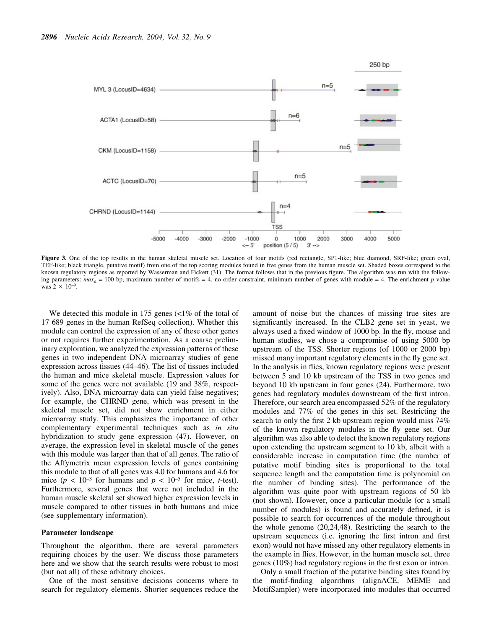

Figure 3. One of the top results in the human skeletal muscle set. Location of four motifs (red rectangle, SP1-like; blue diamond, SRF-like; green oval, TEF-like; black triangle, putative motif) from one of the top scoring modules found in five genes from the human muscle set. Shaded boxes correspond to the known regulatory regions as reported by Wasserman and Fickett (31). The format follows that in the previous figure. The algorithm was run with the following parameters:  $max<sub>d</sub> = 100$  bp, maximum number of motifs = 4, no order constraint, minimum number of genes with module = 4. The enrichment p value was  $2 \times 10^{-9}$ .

We detected this module in 175 genes  $\langle$ <1% of the total of 17 689 genes in the human RefSeq collection). Whether this module can control the expression of any of these other genes or not requires further experimentation. As a coarse preliminary exploration, we analyzed the expression patterns of these genes in two independent DNA microarray studies of gene expression across tissues (44–46). The list of tissues included the human and mice skeletal muscle. Expression values for some of the genes were not available (19 and 38%, respectively). Also, DNA microarray data can yield false negatives; for example, the CHRND gene, which was present in the skeletal muscle set, did not show enrichment in either microarray study. This emphasizes the importance of other complementary experimental techniques such as in situ hybridization to study gene expression (47). However, on average, the expression level in skeletal muscle of the genes with this module was larger than that of all genes. The ratio of the Affymetrix mean expression levels of genes containing this module to that of all genes was 4.0 for humans and 4.6 for mice ( $p < 10^{-3}$  for humans and  $p < 10^{-5}$  for mice, t-test). Furthermore, several genes that were not included in the human muscle skeletal set showed higher expression levels in muscle compared to other tissues in both humans and mice (see supplementary information).

#### Parameter landscape

Throughout the algorithm, there are several parameters requiring choices by the user. We discuss those parameters here and we show that the search results were robust to most (but not all) of these arbitrary choices.

One of the most sensitive decisions concerns where to search for regulatory elements. Shorter sequences reduce the amount of noise but the chances of missing true sites are significantly increased. In the CLB2 gene set in yeast, we always used a fixed window of 1000 bp. In the fly, mouse and human studies, we chose a compromise of using 5000 bp upstream of the TSS. Shorter regions (of 1000 or 2000 bp) missed many important regulatory elements in the fly gene set. In the analysis in flies, known regulatory regions were present between 5 and 10 kb upstream of the TSS in two genes and beyond 10 kb upstream in four genes (24). Furthermore, two genes had regulatory modules downstream of the first intron. Therefore, our search area encompassed 52% of the regulatory modules and 77% of the genes in this set. Restricting the search to only the first 2 kb upstream region would miss 74% of the known regulatory modules in the fly gene set. Our algorithm was also able to detect the known regulatory regions upon extending the upstream segment to 10 kb, albeit with a considerable increase in computation time (the number of putative motif binding sites is proportional to the total sequence length and the computation time is polynomial on the number of binding sites). The performance of the algorithm was quite poor with upstream regions of 50 kb (not shown). However, once a particular module (or a small number of modules) is found and accurately defined, it is possible to search for occurrences of the module throughout the whole genome (20,24,48). Restricting the search to the upstream sequences (i.e. ignoring the first intron and first exon) would not have missed any other regulatory elements in the example in flies. However, in the human muscle set, three genes  $(10\%)$  had regulatory regions in the first exon or intron.

Only a small fraction of the putative binding sites found by the motif-finding algorithms (alignACE, MEME and MotifSampler) were incorporated into modules that occurred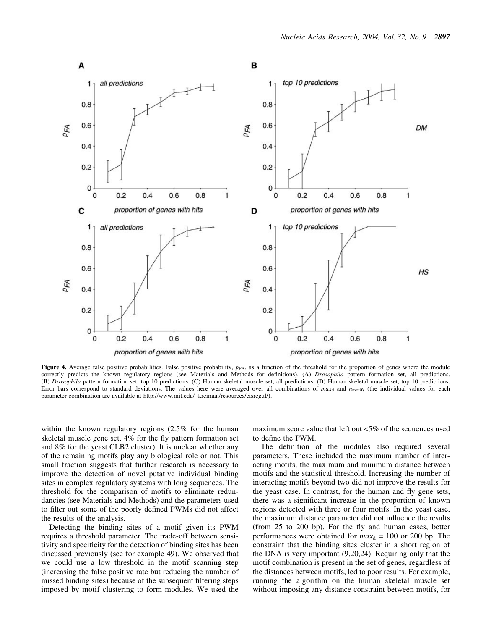

Figure 4. Average false positive probabilities. False positive probability,  $p_{FA}$ , as a function of the threshold for the proportion of genes where the module correctly predicts the known regulatory regions (see Materials and Methods for definitions). (A) Drosophila pattern formation set, all predictions. (B) Drosophila pattern formation set, top 10 predictions. (C) Human skeletal muscle set, all predictions. (D) Human skeletal muscle set, top 10 predictions. Error bars correspond to standard deviations. The values here were averaged over all combinations of  $max<sub>d</sub>$  and  $n<sub>motis</sub>$  (the individual values for each parameter combination are available at http://www.mit.edu/~kreiman/resources/cisregul/).

within the known regulatory regions (2.5% for the human skeletal muscle gene set,  $4\%$  for the fly pattern formation set and 8% for the yeast CLB2 cluster). It is unclear whether any of the remaining motifs play any biological role or not. This small fraction suggests that further research is necessary to improve the detection of novel putative individual binding sites in complex regulatory systems with long sequences. The threshold for the comparison of motifs to eliminate redundancies (see Materials and Methods) and the parameters used to filter out some of the poorly defined PWMs did not affect the results of the analysis.

Detecting the binding sites of a motif given its PWM requires a threshold parameter. The trade-off between sensitivity and specificity for the detection of binding sites has been discussed previously (see for example 49). We observed that we could use a low threshold in the motif scanning step (increasing the false positive rate but reducing the number of missed binding sites) because of the subsequent filtering steps imposed by motif clustering to form modules. We used the maximum score value that left out <5% of the sequences used to define the PWM.

The definition of the modules also required several parameters. These included the maximum number of interacting motifs, the maximum and minimum distance between motifs and the statistical threshold. Increasing the number of interacting motifs beyond two did not improve the results for the yeast case. In contrast, for the human and fly gene sets, there was a significant increase in the proportion of known regions detected with three or four motifs. In the yeast case, the maximum distance parameter did not influence the results (from  $25$  to  $200$  bp). For the fly and human cases, better performances were obtained for  $max<sub>d</sub> = 100$  or 200 bp. The constraint that the binding sites cluster in a short region of the DNA is very important (9,20,24). Requiring only that the motif combination is present in the set of genes, regardless of the distances between motifs, led to poor results. For example, running the algorithm on the human skeletal muscle set without imposing any distance constraint between motifs, for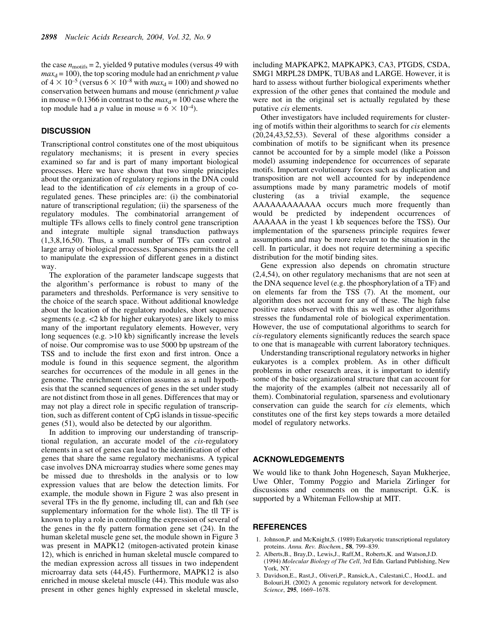the case  $n_{\text{motifs}} = 2$ , yielded 9 putative modules (versus 49 with  $max<sub>d</sub> = 100$ , the top scoring module had an enrichment p value of  $4 \times 10^{-5}$  (versus  $6 \times 10^{-8}$  with  $max<sub>d</sub> = 100$ ) and showed no conservation between humans and mouse (enrichment  $p$  value in mouse = 0.1366 in contrast to the  $max<sub>d</sub> = 100$  case where the top module had a p value in mouse =  $6 \times 10^{-4}$ ).

# **DISCUSSION**

Transcriptional control constitutes one of the most ubiquitous regulatory mechanisms; it is present in every species examined so far and is part of many important biological processes. Here we have shown that two simple principles about the organization of regulatory regions in the DNA could lead to the identification of *cis* elements in a group of coregulated genes. These principles are: (i) the combinatorial nature of transcriptional regulation; (ii) the sparseness of the regulatory modules. The combinatorial arrangement of multiple TFs allows cells to finely control gene transcription and integrate multiple signal transduction pathways (1,3,8,16,50). Thus, a small number of TFs can control a large array of biological processes. Sparseness permits the cell to manipulate the expression of different genes in a distinct way.

The exploration of the parameter landscape suggests that the algorithm's performance is robust to many of the parameters and thresholds. Performance is very sensitive to the choice of the search space. Without additional knowledge about the location of the regulatory modules, short sequence segments (e.g. <2 kb for higher eukaryotes) are likely to miss many of the important regulatory elements. However, very long sequences (e.g.  $>10$  kb) significantly increase the levels of noise. Our compromise was to use 5000 bp upstream of the TSS and to include the first exon and first intron. Once a module is found in this sequence segment, the algorithm searches for occurrences of the module in all genes in the genome. The enrichment criterion assumes as a null hypothesis that the scanned sequences of genes in the set under study are not distinct from those in all genes. Differences that may or may not play a direct role in specific regulation of transcription, such as different content of CpG islands in tissue-specific genes (51), would also be detected by our algorithm.

In addition to improving our understanding of transcriptional regulation, an accurate model of the cis-regulatory elements in a set of genes can lead to the identification of other genes that share the same regulatory mechanisms. A typical case involves DNA microarray studies where some genes may be missed due to thresholds in the analysis or to low expression values that are below the detection limits. For example, the module shown in Figure 2 was also present in several TFs in the fly genome, including tll, can and fkh (see supplementary information for the whole list). The tll TF is known to play a role in controlling the expression of several of the genes in the fly pattern formation gene set  $(24)$ . In the human skeletal muscle gene set, the module shown in Figure 3 was present in MAPK12 (mitogen-activated protein kinase 12), which is enriched in human skeletal muscle compared to the median expression across all tissues in two independent microarray data sets (44,45). Furthermore, MAPK12 is also enriched in mouse skeletal muscle (44). This module was also present in other genes highly expressed in skeletal muscle, including MAPKAPK2, MAPKAPK3, CA3, PTGDS, CSDA, SMG1 MRPL28 DMPK, TUBA8 and LARGE. However, it is hard to assess without further biological experiments whether expression of the other genes that contained the module and were not in the original set is actually regulated by these putative cis elements.

Other investigators have included requirements for clustering of motifs within their algorithms to search for cis elements (20,24,43,52,53). Several of these algorithms consider a combination of motifs to be significant when its presence cannot be accounted for by a simple model (like a Poisson model) assuming independence for occurrences of separate motifs. Important evolutionary forces such as duplication and transposition are not well accounted for by independence assumptions made by many parametric models of motif clustering (as a trivial example, the sequence clustering (as a trivial example, the sequence AAAAAAAAAAAA occurs much more frequently than would be predicted by independent occurrences of AAAAAA in the yeast 1 kb sequences before the TSS). Our implementation of the sparseness principle requires fewer assumptions and may be more relevant to the situation in the cell. In particular, it does not require determining a specific distribution for the motif binding sites.

Gene expression also depends on chromatin structure (2,4,54), on other regulatory mechanisms that are not seen at the DNA sequence level (e.g. the phosphorylation of a TF) and on elements far from the TSS (7). At the moment, our algorithm does not account for any of these. The high false positive rates observed with this as well as other algorithms stresses the fundamental role of biological experimentation. However, the use of computational algorithms to search for  $cis$ -regulatory elements significantly reduces the search space to one that is manageable with current laboratory techniques.

Understanding transcriptional regulatory networks in higher eukaryotes is a complex problem. As in other difficult problems in other research areas, it is important to identify some of the basic organizational structure that can account for the majority of the examples (albeit not necessarily all of them). Combinatorial regulation, sparseness and evolutionary conservation can guide the search for cis elements, which constitutes one of the first key steps towards a more detailed model of regulatory networks.

# ACKNOWLEDGEMENTS

We would like to thank John Hogenesch, Sayan Mukherjee, Uwe Ohler, Tommy Poggio and Mariela Zirlinger for discussions and comments on the manuscript. G.K. is supported by a Whiteman Fellowship at MIT.

# **REFERENCES**

- 1. Johnson,P. and McKnight,S. (1989) Eukaryotic transcriptional regulatory proteins. Annu. Rev. Biochem., 58, 799-839.
- 2. Alberts,B., Bray,D., Lewis,J., Raff,M., Roberts,K. and Watson,J.D. (1994) Molecular Biology of The Cell, 3rd Edn. Garland Publishing, New York, NY.
- 3. Davidson,E., Rast,J., Oliveri,P., Ransick,A., Calestani,C., Hood,L. and Bolouri,H. (2002) A genomic regulatory network for development. Science, 295, 1669-1678.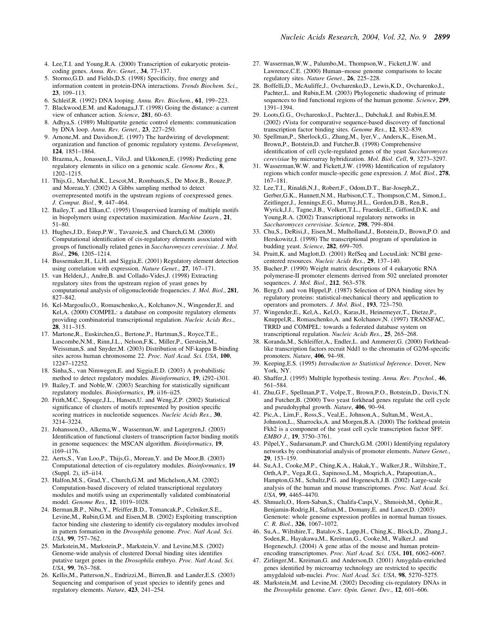- 4. Lee,T.I. and Young,R.A. (2000) Transcription of eukaryotic proteincoding genes. Annu. Rev. Genet., 34, 77-137.
- 5. Stormo, G.D. and Fields, D.S. (1998) Specificity, free energy and information content in protein-DNA interactions. Trends Biochem. Sci., 23, 109±113.
- 6. Schleif,R. (1992) DNA looping. Annu. Rev. Biochem., 61, 199-223.
- 7. Blackwood,E.M. and Kadonaga,J.T. (1998) Going the distance: a current view of enhancer action. Science, 281, 60-63.
- 8. Adhya,S. (1989) Multipartite genetic control elements: communication by DNA loop. Annu. Rev. Genet., 23, 227-250.
- 9. Arnone,M. and Davidson,E. (1997) The hardwiring of development: organization and function of genomic regulatory systems. Development, 124, 1851±1864.
- 10. Brazma,A., Jonassen,I., Vilo,J. and Ukkonen,E. (1998) Predicting gene regulatory elements in silico on a genomic scale. Genome Res., 8, 1202±1215.
- 11. Thijs,G., Marchal,K., Lescot,M., Rombauts,S., De Moor,B., Rouze,P. and Moreau,Y. (2002) A Gibbs sampling method to detect overrepresented motifs in the upstream regions of coexpressed genes. J. Comput. Biol., 9, 447-464.
- 12. Bailey,T. and Elkan,C. (1995) Unsupervised learning of multiple motifs in biopolymers using expectation maximization. Machine Learn., 21,  $51 - 80.$
- 13. Hughes,J.D., Estep,P.W., Tavazoie,S. and Church,G.M. (2000) Computational identification of cis-regulatory elements associated with groups of functionally related genes in Saccharomyces cerevisiae. J. Mol. Biol., 296, 1205-1214.
- 14. Bussemaker,H., Li,H. and Siggia,E. (2001) Regulatory element detection using correlation with expression. Nature Genet., 27, 167-171.
- 15. van Helden,J., Andre,B. and Collado-Vides,J. (1998) Extracting regulatory sites from the upstream region of yeast genes by computational analysis of oligonucleotide frequencies. J. Mol. Biol., 281, 827±842.
- 16. Kel-Margoulis,O., Romaschenko,A., Kolchanov,N., Wingender,E. and Kel,A. (2000) COMPEL: a database on composite regulatory elements providing combinatorial transcriptional regulation. Nucleic Acids Res., 28, 311±315.
- 17. Martone,R., Euskirchen,G., Bertone,P., Hartman,S., Royce,T.E., Luscombe,N.M., Rinn,J.L., Nelson,F.K., Miller,P., Gerstein,M., Weissman,S. and Snyder,M. (2003) Distribution of NF-kappa B-binding sites across human chromosome 22. Proc. Natl Acad. Sci. USA, 100, 12247±12252.
- 18. Sinha,S., van Nimwegen,E. and Siggia,E.D. (2003) A probabilistic method to detect regulatory modules. Bioinformatics, 19, i292-i301.
- 19. Bailey, T. and Noble, W. (2003) Searching for statistically significant regulatory modules. Bioinformatics, 19, ii16-ii25.
- 20. Frith,M.C., Spouge,J.L., Hansen,U. and Weng,Z.P. (2002) Statistical significance of clusters of motifs represented by position specific scoring matrices in nucleotide sequences. Nucleic Acids Res., 30, 3214±3224.
- 21. Johansson,O., Alkema,W., Wasserman,W. and Lagergren,J. (2003) Identification of functional clusters of transcription factor binding motifs in genome sequences: the MSCAN algorithm. Bioinformatics, 19, i169±i176.
- 22. Aerts,S., Van Loo,P., Thijs,G., Moreau,Y. and De Moor,B. (2003) Computational detection of cis-regulatory modules. Bioinformatics, 19 (Suppl. 2), ii5±ii14.
- 23. Halfon,M.S., Grad,Y., Church,G.M. and Michelson,A.M. (2002) Computation-based discovery of related transcriptional regulatory modules and motifs using an experimentally validated combinatorial model. Genome Res., 12, 1019-1028.
- 24. Berman,B.P., Nibu,Y., Pfeiffer,B.D., Tomancak,P., Celniker,S.E., Levine,M., Rubin,G.M. and Eisen,M.B. (2002) Exploiting transcription factor binding site clustering to identify cis-regulatory modules involved in pattern formation in the Drosophila genome. Proc. Natl Acad. Sci. USA, 99, 757-762.
- 25. Markstein,M., Markstein,P., Markstein,V. and Levine,M.S. (2002) Genome-wide analysis of clustered Dorsal binding sites identifies putative target genes in the Drosophila embryo. Proc. Natl Acad. Sci. USA, 99, 763-768.
- 26. Kellis,M., Patterson,N., Endrizzi,M., Birren,B. and Lander,E.S. (2003) Sequencing and comparison of yeast species to identify genes and regulatory elements. Nature, 423, 241-254.
- 27. Wasserman,W.W., Palumbo,M., Thompson,W., Fickett,J.W. and Lawrence, C.E. (2000) Human-mouse genome comparisons to locate regulatory sites. Nature Genet., 26, 225-228.
- 28. Boffelli,D., McAuliffe,J., Ovcharenko,D., Lewis,K.D., Ovcharenko,I., Pachter,L. and Rubin,E.M. (2003) Phylogenetic shadowing of primate sequences to find functional regions of the human genome. Science, 299, 1391±1394.
- 29. Loots,G.G., Ovcharenko,I., Pachter,L., Dubchak,I. and Rubin,E.M. (2002) rVista for comparative sequence-based discovery of functional transcription factor binding sites. Genome Res., 12, 832-839.
- 30. Spellman,P., Sherlock,G., Zhang,M., Iyer,V., Anders,K., Eisen,M., Brown,P., Botstein,D. and Futcher,B. (1998) Comprehensive identification of cell cycle-regulated genes of the yeast Saccharomyces cerevisiae by microarray hybridization. Mol. Biol. Cell, 9, 3273-3297.
- 31. Wasserman, W.W. and Fickett, J.W. (1998) Identification of regulatory regions which confer muscle-specific gene expression. J. Mol. Biol., 278, 167±181.
- 32. Lee,T.I., Rinaldi,N.J., Robert,F., Odom,D.T., Bar-Joseph,Z., Gerber,G.K., Hannett,N.M., Harbison,C.T., Thompson,C.M., Simon,I., Zeitlinger,J., Jennings,E.G., Murray,H.L., Gordon,D.B., Ren,B., Wyrick,J.J., Tagne,J.B., Volkert,T.L., Fraenkel,E., Gifford,D.K. and Young,R.A. (2002) Transcriptional regulatory networks in Saccharomyces cerevisiae. Science, 298, 799-804.
- 33. Chu,S., DeRisi,J., Eisen,M., Mulholland,J., Botstein,D., Brown,P.O. and Herskowitz,I. (1998) The transcriptional program of sporulation in budding yeast. Science, 282, 699-705.
- 34. Pruitt,K. and Maglott,D. (2001) RefSeq and LocusLink: NCBI genecentered resources. Nucleic Acids Res., 29, 137-140.
- 35. Bucher,P. (1990) Weight matrix descriptions of 4 eukaryotic RNA polymerase-II promoter elements derived from 502 unrelated promoter sequences. J. Mol. Biol., 212, 563-578.
- 36. Berg,O. and von Hippel,P. (1987) Selection of DNA binding sites by regulatory proteins: statistical-mechanical theory and application to operators and promoters. J. Mol. Biol., 193, 723-750.
- 37. Wingender,E., Kel,A., Kel,O., Karas,H., Heinemeyer,T., Dietze,P., Knuppel,R., Romaschenko,A. and Kolchanov,N. (1997) TRANSFAC, TRRD and COMPEL: towards a federated database system on transcriptional regulation. Nucleic Acids Res.,  $25$ ,  $265-268$ .
- 38. Koranda,M., Schleiffer,A., Endler,L. and Ammerer,G. (2000) Forkheadlike transcription factors recruit Ndd1 to the chromatin of  $G2/M$ -specific promoters. Nature, 406, 94-98.
- 39. Keeping,E.S. (1995) Introduction to Statistical Inference. Dover, New York, NY.
- 40. Shaffer, J. (1995) Multiple hypothesis testing. Annu. Rev. Psychol., 46, 561±584.
- 41. Zhu,G.F., Spellman,P.T., Volpe,T., Brown,P.O., Botstein,D., Davis,T.N. and Futcher,B. (2000) Two yeast forkhead genes regulate the cell cycle and pseudohyphal growth. Nature, 406, 90-94.
- 42. Pic,A., Lim,F., Ross,S., Veal,E., Johnson,A., Sultan,M., West,A., Johnston,L., Sharrocks,A. and Morgen,B.A. (2000) The forkhead protein Fkh2 is a component of the yeast cell cycle transcription factor SFF. EMBO J., 19, 3750-3761.
- 43. Pilpel,Y., Sudarsanam,P. and Church,G.M. (2001) Identifying regulatory networks by combinatorial analysis of promoter elements. Nature Genet., 29, 153±159.
- 44. Su,A.I., Cooke,M.P., Ching,K.A., Hakak,Y., Walker,J.R., Wiltshire,T., Orth,A.P., Vega,R.G., Sapinoso,L.M., Moqrich,A., Patapoutian,A., Hampton,G.M., Schultz,P.G. and Hogenesch,J.B. (2002) Large-scale analysis of the human and mouse transcriptomes. Proc. Natl Acad. Sci. USA, 99, 4465-4470.
- 45. Shmueli,O., Horn-Saban,S., Chalifa-Caspi,V., Shmoish,M., Ophir,R., Benjamin-Rodrig,H., Safran,M., Domany,E. and Lancet,D. (2003) Genenote: whole genome expression profiles in normal human tissues. C. R. Biol., 326, 1067-1072.
- 46. Su,A., Wiltshire,T., Batalov,S., Lapp,H., Ching,K., Block,D., Zhang,J., Soden,R., Hayakawa,M., Kreiman,G., Cooke,M., Walker,J. and Hogenesch,J. (2004) A gene atlas of the mouse and human proteinencoding transcriptomes. Proc. Natl Acad. Sci. USA, 101, 6062-6067.
- 47. Zirlinger,M., Kreiman,G. and Anderson,D. (2001) Amygdala-enriched genes identified by microarray technology are restricted to specific amygdaloid sub-nuclei. Proc. Natl Acad. Sci. USA, 98, 5270-5275.
- 48. Markstein,M. and Levine,M. (2002) Decoding cis-regulatory DNAs in the Drosophila genome. Curr. Opin. Genet. Dev.,  $12$ , 601-606.